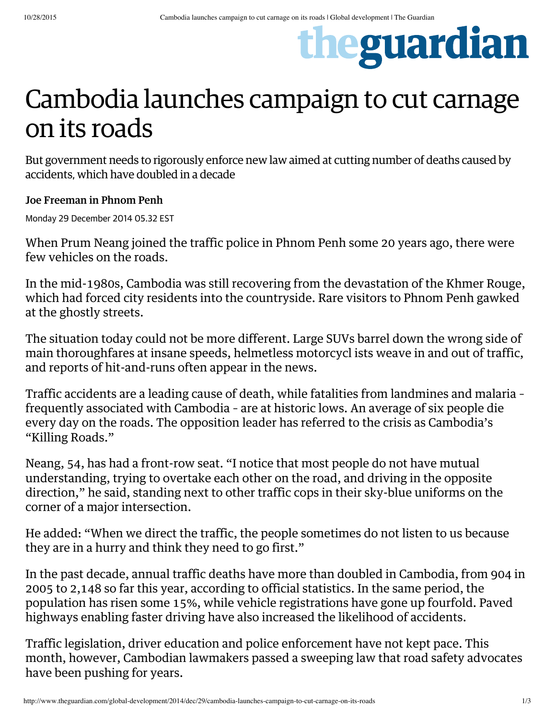## theguardian

## Cambodia launches campaign to cut carnage on its roads

But government needs to rigorously enforce new law aimed at cutting number of deaths caused by accidents, which have doubled in a decade

Joe Freeman in Phnom Penh

Monday 29 December 2014 05.32 EST

When Prum Neang joined the traffic police in Phnom Penh some 20 years ago, there were few vehicles on the roads.

In the mid-1980s, Cambodia was still recovering from the devastation of the Khmer Rouge, which had forced city residents into the countryside. Rare visitors to Phnom Penh gawked at the ghostly streets.

The situation today could not be more different. Large SUVs barrel down the wrong side of main thoroughfares at insane speeds, helmetless motorcycl ists weave in and out of traffic, and reports of hit-and-runs often appear in the news.

Traffic accidents are a leading cause of death, while fatalities from landmines and malaria – frequently associated with Cambodia – are at historic lows. An average of six people die every day on the roads. The opposition leader has referred to the crisis as Cambodia's "Killing Roads."

Neang, 54, has had a front-row seat. "I notice that most people do not have mutual understanding, trying to overtake each other on the road, and driving in the opposite direction," he said, standing next to other traffic cops in their sky-blue uniforms on the corner of a major intersection.

He added: "When we direct the traffic, the people sometimes do not listen to us because they are in a hurry and think they need to go first."

In the past decade, annual traffic deaths have more than doubled in Cambodia, from 904 in 2005 to 2,148 so far this year, according to official statistics. In the same period, the population has risen some 15%, while vehicle registrations have gone up fourfold. Paved highways enabling faster driving have also increased the likelihood of accidents.

Traffic legislation, driver education and police enforcement have not kept pace. This month, however, Cambodian lawmakers passed a sweeping law that road safety advocates have been pushing for years.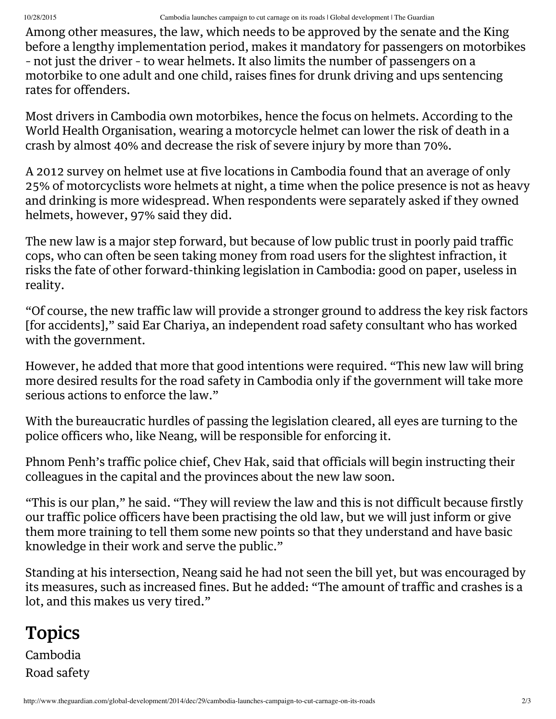Among other measures, the law, which needs to be approved by the senate and the King before a lengthy implementation period, makes it mandatory for passengers on motorbikes – not just the driver – to wear helmets. It also limits the number of passengers on a motorbike to one adult and one child, raises fines for drunk driving and ups sentencing rates for offenders.

Most drivers in Cambodia own motorbikes, hence the focus on helmets. According to the World Health Organisation, wearing a motorcycle helmet can lower the risk of death in a crash by almost 40% and decrease the risk of severe injury by more than 70%.

A 2012 survey on helmet use at five locations in Cambodia found that an average of only 25% of motorcyclists wore helmets at night, a time when the police presence is not as heavy and drinking is more widespread. When respondents were separately asked if they owned helmets, however, 97% said they did.

The new law is a major step forward, but because of low public trust in poorly paid traffic cops, who can often be seen taking money from road users for the slightest infraction, it risks the fate of other forward-thinking legislation in Cambodia: good on paper, useless in reality.

"Of course, the new traffic law will provide a stronger ground to address the key risk factors [for accidents]," said Ear Chariya, an independent road safety consultant who has worked with the government.

However, he added that more that good intentions were required. "This new law will bring more desired results for the road safety in Cambodia only if the government will take more serious actions to enforce the law."

With the bureaucratic hurdles of passing the legislation cleared, all eyes are turning to the police officers who, like Neang, will be responsible for enforcing it.

Phnom Penh's traffic police chief, Chev Hak, said that officials will begin instructing their colleagues in the capital and the provinces about the new law soon.

"This is our plan," he said. "They will review the law and this is not difficult because firstly our traffic police officers have been practising the old law, but we will just inform or give them more training to tell them some new points so that they understand and have basic knowledge in their work and serve the public."

Standing at his intersection, Neang said he had not seen the bill yet, but was encouraged by its measures, such as increased fines. But he added: "The amount of traffic and crashes is a lot, and this makes us very tired."

## Topics

Cambodia Road safety